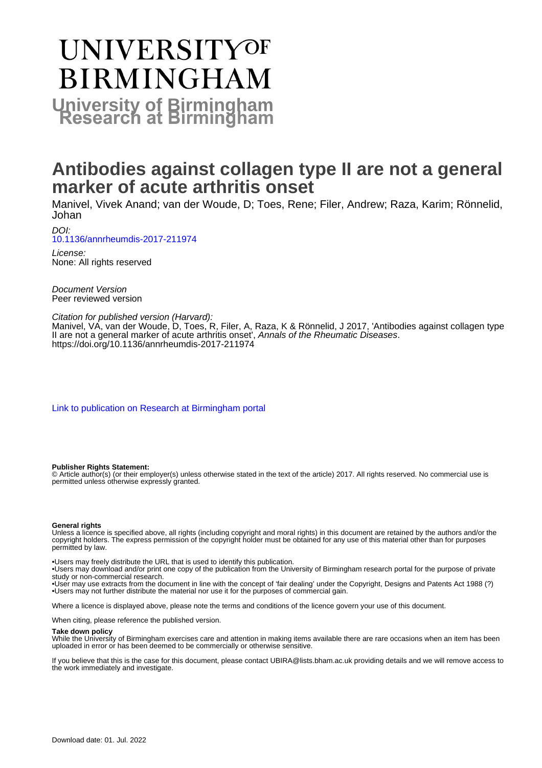# **UNIVERSITYOF BIRMINGHAM University of Birmingham**

# **Antibodies against collagen type II are not a general marker of acute arthritis onset**

Manivel, Vivek Anand; van der Woude, D; Toes, Rene; Filer, Andrew; Raza, Karim; Rönnelid, Johan

DOI:

[10.1136/annrheumdis-2017-211974](https://doi.org/10.1136/annrheumdis-2017-211974)

License: None: All rights reserved

Document Version Peer reviewed version

Citation for published version (Harvard):

Manivel, VA, van der Woude, D, Toes, R, Filer, A, Raza, K & Rönnelid, J 2017, 'Antibodies against collagen type II are not a general marker of acute arthritis onset', Annals of the Rheumatic Diseases. <https://doi.org/10.1136/annrheumdis-2017-211974>

[Link to publication on Research at Birmingham portal](https://birmingham.elsevierpure.com/en/publications/43ac1cf9-f136-4172-a940-9cca4845aa6b)

## **Publisher Rights Statement:**

© Article author(s) (or their employer(s) unless otherwise stated in the text of the article) 2017. All rights reserved. No commercial use is permitted unless otherwise expressly granted.

### **General rights**

Unless a licence is specified above, all rights (including copyright and moral rights) in this document are retained by the authors and/or the copyright holders. The express permission of the copyright holder must be obtained for any use of this material other than for purposes permitted by law.

• Users may freely distribute the URL that is used to identify this publication.

• Users may download and/or print one copy of the publication from the University of Birmingham research portal for the purpose of private study or non-commercial research.

• User may use extracts from the document in line with the concept of 'fair dealing' under the Copyright, Designs and Patents Act 1988 (?) • Users may not further distribute the material nor use it for the purposes of commercial gain.

Where a licence is displayed above, please note the terms and conditions of the licence govern your use of this document.

When citing, please reference the published version.

### **Take down policy**

While the University of Birmingham exercises care and attention in making items available there are rare occasions when an item has been uploaded in error or has been deemed to be commercially or otherwise sensitive.

If you believe that this is the case for this document, please contact UBIRA@lists.bham.ac.uk providing details and we will remove access to the work immediately and investigate.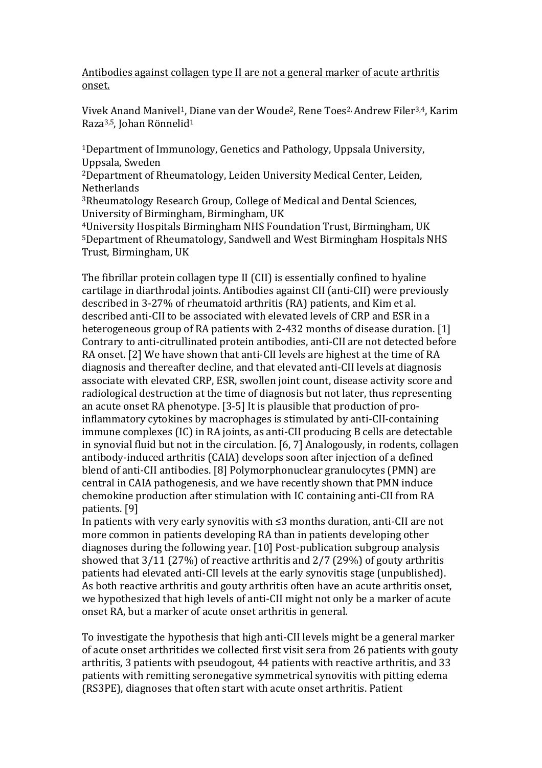Antibodies against collagen type II are not a general marker of acute arthritis onset.

Vivek Anand Manivel1, Diane van der Woude2, Rene Toes2, Andrew Filer3,4, Karim Raza3,5, Johan Rönnelid<sup>1</sup>

<sup>1</sup>Department of Immunology, Genetics and Pathology, Uppsala University, Uppsala, Sweden

<sup>2</sup>Department of Rheumatology, Leiden University Medical Center, Leiden, Netherlands

<sup>3</sup>Rheumatology Research Group, College of Medical and Dental Sciences, University of Birmingham, Birmingham, UK

<sup>4</sup>University Hospitals Birmingham NHS Foundation Trust, Birmingham, UK <sup>5</sup>Department of Rheumatology, Sandwell and West Birmingham Hospitals NHS Trust, Birmingham, UK

The fibrillar protein collagen type II (CII) is essentially confined to hyaline cartilage in diarthrodal joints. Antibodies against CII (anti-CII) were previously described in 3-27% of rheumatoid arthritis (RA) patients, and Kim et al. described anti-CII to be associated with elevated levels of CRP and ESR in a heterogeneous group of RA patients with 2-432 months of disease duration. [1] Contrary to anti-citrullinated protein antibodies, anti-CII are not detected before RA onset. [2] We have shown that anti-CII levels are highest at the time of RA diagnosis and thereafter decline, and that elevated anti-CII levels at diagnosis associate with elevated CRP, ESR, swollen joint count, disease activity score and radiological destruction at the time of diagnosis but not later, thus representing an acute onset RA phenotype. [3-5] It is plausible that production of proinflammatory cytokines by macrophages is stimulated by anti-CII-containing immune complexes (IC) in RA joints, as anti-CII producing B cells are detectable in synovial fluid but not in the circulation. [6, 7] Analogously, in rodents, collagen antibody-induced arthritis (CAIA) develops soon after injection of a defined blend of anti-CII antibodies. [8] Polymorphonuclear granulocytes (PMN) are central in CAIA pathogenesis, and we have recently shown that PMN induce chemokine production after stimulation with IC containing anti-CII from RA patients. [9]

In patients with very early synovitis with ≤3 months duration, anti-CII are not more common in patients developing RA than in patients developing other diagnoses during the following year. [10] Post-publication subgroup analysis showed that 3/11 (27%) of reactive arthritis and 2/7 (29%) of gouty arthritis patients had elevated anti-CII levels at the early synovitis stage (unpublished). As both reactive arthritis and gouty arthritis often have an acute arthritis onset, we hypothesized that high levels of anti-CII might not only be a marker of acute onset RA, but a marker of acute onset arthritis in general.

To investigate the hypothesis that high anti-CII levels might be a general marker of acute onset arthritides we collected first visit sera from 26 patients with gouty arthritis, 3 patients with pseudogout, 44 patients with reactive arthritis, and 33 patients with remitting seronegative symmetrical synovitis with pitting edema (RS3PE), diagnoses that often start with acute onset arthritis. Patient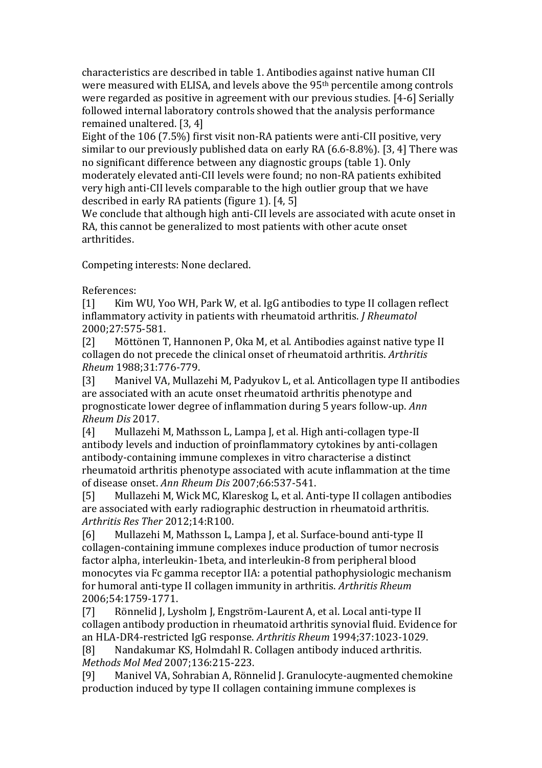characteristics are described in table 1. Antibodies against native human CII were measured with ELISA, and levels above the 95th percentile among controls were regarded as positive in agreement with our previous studies. [4-6] Serially followed internal laboratory controls showed that the analysis performance remained unaltered. [3, 4]

Eight of the 106 (7.5%) first visit non-RA patients were anti-CII positive, very similar to our previously published data on early RA (6.6-8.8%). [3, 4] There was no significant difference between any diagnostic groups (table 1). Only moderately elevated anti-CII levels were found; no non-RA patients exhibited very high anti-CII levels comparable to the high outlier group that we have described in early RA patients (figure 1). [4, 5]

We conclude that although high anti-CII levels are associated with acute onset in RA, this cannot be generalized to most patients with other acute onset arthritides.

Competing interests: None declared.

References:

[1] Kim WU, Yoo WH, Park W, et al. IgG antibodies to type II collagen reflect inflammatory activity in patients with rheumatoid arthritis. *J Rheumatol* 2000;27:575-581.

[2] Möttönen T, Hannonen P, Oka M, et al. Antibodies against native type II collagen do not precede the clinical onset of rheumatoid arthritis. *Arthritis Rheum* 1988;31:776-779.

[3] Manivel VA, Mullazehi M, Padyukov L, et al. Anticollagen type II antibodies are associated with an acute onset rheumatoid arthritis phenotype and prognosticate lower degree of inflammation during 5 years follow-up. *Ann Rheum Dis* 2017.

[4] Mullazehi M, Mathsson L, Lampa J, et al. High anti-collagen type-II antibody levels and induction of proinflammatory cytokines by anti-collagen antibody-containing immune complexes in vitro characterise a distinct rheumatoid arthritis phenotype associated with acute inflammation at the time of disease onset. *Ann Rheum Dis* 2007;66:537-541.

[5] Mullazehi M, Wick MC, Klareskog L, et al. Anti-type II collagen antibodies are associated with early radiographic destruction in rheumatoid arthritis. *Arthritis Res Ther* 2012;14:R100.

[6] Mullazehi M, Mathsson L, Lampa J, et al. Surface-bound anti-type II collagen-containing immune complexes induce production of tumor necrosis factor alpha, interleukin-1beta, and interleukin-8 from peripheral blood monocytes via Fc gamma receptor IIA: a potential pathophysiologic mechanism for humoral anti-type II collagen immunity in arthritis. *Arthritis Rheum* 2006;54:1759-1771.

[7] Rönnelid J, Lysholm J, Engström-Laurent A, et al. Local anti-type II collagen antibody production in rheumatoid arthritis synovial fluid. Evidence for an HLA-DR4-restricted IgG response. *Arthritis Rheum* 1994;37:1023-1029.

[8] Nandakumar KS, Holmdahl R. Collagen antibody induced arthritis. *Methods Mol Med* 2007;136:215-223.

[9] Manivel VA, Sohrabian A, Rönnelid J. Granulocyte-augmented chemokine production induced by type II collagen containing immune complexes is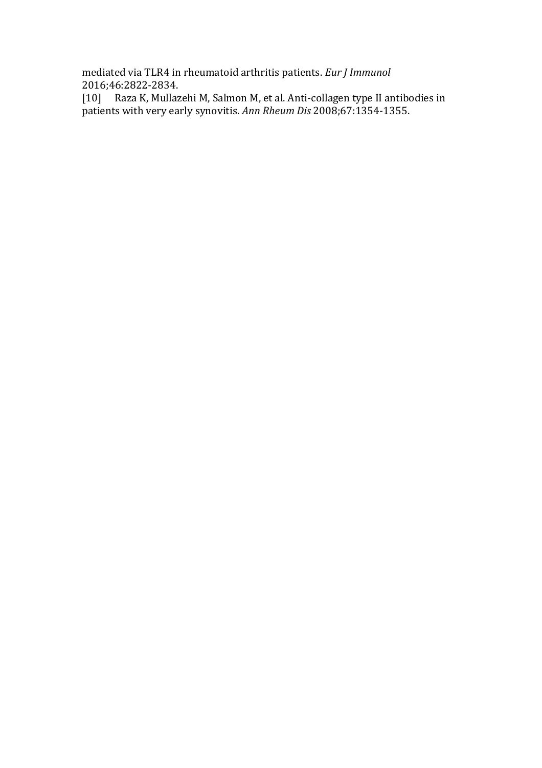mediated via TLR4 in rheumatoid arthritis patients. *Eur J Immunol* 2016;46:2822-2834.

[10] Raza K, Mullazehi M, Salmon M, et al. Anti-collagen type II antibodies in patients with very early synovitis. *Ann Rheum Dis* 2008;67:1354-1355.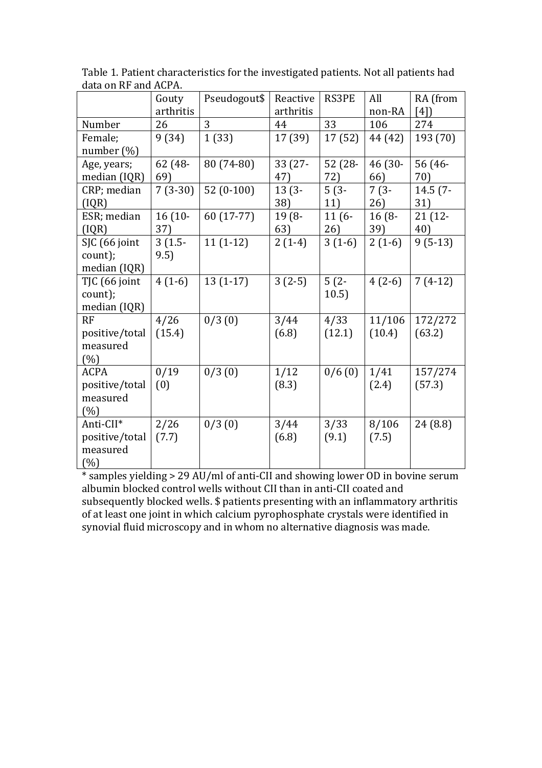|                | Gouty     | Pseudogout\$ | Reactive  | <b>RS3PE</b> | All      | RA (from   |
|----------------|-----------|--------------|-----------|--------------|----------|------------|
|                | arthritis |              | arthritis |              | non-RA   | [4]        |
| Number         | 26        | 3            | 44        | 33           | 106      | 274        |
| Female;        | 9(34)     | 1(33)        | 17 (39)   | 17(52)       | 44 (42)  | 193 (70)   |
| number $(\%)$  |           |              |           |              |          |            |
| Age, years;    | 62 (48-   | 80 (74-80)   | 33 (27-   | $52(28 -$    | 46 (30-  | 56 (46-    |
| median (IQR)   | 69)       |              | 47)       | 72)          | 66)      | 70)        |
| CRP; median    | $7(3-30)$ | $52(0-100)$  | $13(3 -$  | $5(3-$       | $7(3-$   | $14.5(7 -$ |
| (IQR)          |           |              | 38)       | 11)          | 26)      | 31)        |
| ESR; median    | $16(10 -$ | 60 (17-77)   | 19 (8-    | $11(6-$      | $16(8 -$ | $21(12 -$  |
| (IQR)          | 37)       |              | 63)       | 26)          | 39)      | 40)        |
| SJC (66 joint  | $3(1.5-$  | $11(1-12)$   | $2(1-4)$  | $3(1-6)$     | $2(1-6)$ | $9(5-13)$  |
| count);        | 9.5)      |              |           |              |          |            |
| median (IQR)   |           |              |           |              |          |            |
| TJC (66 joint  | $4(1-6)$  | $13(1-17)$   | $3(2-5)$  | $5(2-$       | $4(2-6)$ | $7(4-12)$  |
| count);        |           |              |           | 10.5)        |          |            |
| median (IQR)   |           |              |           |              |          |            |
| RF             | 4/26      | 0/3(0)       | 3/44      | 4/33         | 11/106   | 172/272    |
| positive/total | (15.4)    |              | (6.8)     | (12.1)       | (10.4)   | (63.2)     |
| measured       |           |              |           |              |          |            |
| (%)            |           |              |           |              |          |            |
| <b>ACPA</b>    | 0/19      | 0/3(0)       | 1/12      | 0/6(0)       | 1/41     | 157/274    |
| positive/total | (0)       |              | (8.3)     |              | (2.4)    | (57.3)     |
| measured       |           |              |           |              |          |            |
| (%)            |           |              |           |              |          |            |
| Anti-CII*      | 2/26      | 0/3(0)       | 3/44      | 3/33         | 8/106    | 24 (8.8)   |
| positive/total | (7.7)     |              | (6.8)     | (9.1)        | (7.5)    |            |
| measured       |           |              |           |              |          |            |
| (%)            |           |              |           |              |          |            |

Table 1. Patient characteristics for the investigated patients. Not all patients had data on RF and ACPA.

\* samples yielding > 29 AU/ml of anti-CII and showing lower OD in bovine serum albumin blocked control wells without CII than in anti-CII coated and subsequently blocked wells. \$ patients presenting with an inflammatory arthritis of at least one joint in which calcium pyrophosphate crystals were identified in synovial fluid microscopy and in whom no alternative diagnosis was made.